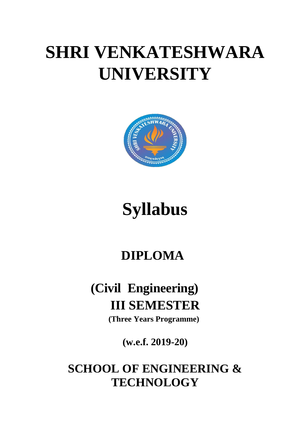# **SHRI VENKATESHWARA UNIVERSITY**



# **Syllabus**

# **DIPLOMA**

# **(Civil Engineering) III SEMESTER**

**(Three Years Programme)**

**(w.e.f. 2019-20)**

# **SCHOOL OF ENGINEERING & TECHNOLOGY**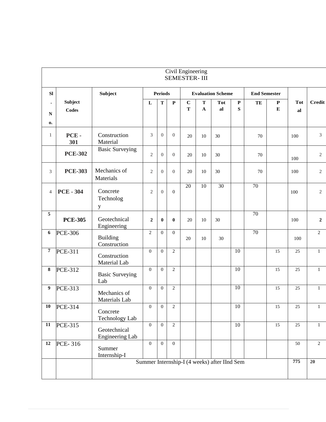|                                |                         |                                      |                  |                |                | Civil Engineering<br><b>SEMESTER-III</b> |                   |                                              |                          |                     |                        |                  |                  |
|--------------------------------|-------------------------|--------------------------------------|------------------|----------------|----------------|------------------------------------------|-------------------|----------------------------------------------|--------------------------|---------------------|------------------------|------------------|------------------|
| <b>SI</b>                      |                         | Subject                              |                  | <b>Periods</b> |                |                                          |                   | <b>Evaluation Scheme</b>                     |                          | <b>End Semester</b> |                        |                  |                  |
| $\bullet$<br>$\mathbf N$<br>0. | Subject<br><b>Codes</b> |                                      | $\mathbf{L}$     | $\mathbf T$    | $\mathbf P$    | $\mathbf C$<br>$\mathbf T$               | T<br>$\mathbf{A}$ | <b>Tot</b><br>al                             | $\mathbf P$<br>${\bf S}$ | TE                  | ${\bf P}$<br>${\bf E}$ | <b>Tot</b><br>al | <b>Credit</b>    |
| $\mathbf{1}$                   | PCE-<br>301             | Construction<br>Material             | 3                | $\overline{0}$ | $\overline{0}$ | 20                                       | 10                | 30                                           |                          | 70                  |                        | 100              | $\mathfrak{Z}$   |
|                                | <b>PCE-302</b>          | <b>Basic Surveying</b>               | $\mathbf{2}$     | $\overline{0}$ | $\overline{0}$ | 20                                       | 10                | 30                                           |                          | 70                  |                        | 100              | $\overline{2}$   |
| 3                              | <b>PCE-303</b>          | Mechanics of<br>Materials            | $\overline{2}$   | $\overline{0}$ | $\overline{0}$ | 20                                       | 10                | 30                                           |                          | 70                  |                        | 100              | $\overline{2}$   |
| $\overline{4}$                 | <b>PCE - 304</b>        | Concrete<br>Technolog<br>$\mathbf y$ | $\mathfrak{2}$   | $\Omega$       | $\Omega$       | $\overline{20}$                          | 10                | $\overline{30}$                              |                          | $\overline{70}$     |                        | 100              | $\overline{2}$   |
| 5                              | <b>PCE-305</b>          | Geotechnical<br>Engineering          | $\boldsymbol{2}$ | $\bf{0}$       | $\bf{0}$       | 20                                       | 10                | 30                                           |                          | 70                  |                        | 100              | $\boldsymbol{2}$ |
| 6                              | <b>PCE-306</b>          | <b>Building</b><br>Construction      | $\overline{2}$   | $\overline{0}$ | $\overline{0}$ | 20                                       | $10\,$            | 30                                           |                          | 70                  |                        | 100              | $\overline{2}$   |
| $\boldsymbol{7}$               | <b>PCE-311</b>          | Construction<br>Material Lab         | $\overline{0}$   | $\Omega$       | $\overline{c}$ |                                          |                   |                                              | 10                       |                     | 15                     | 25               | $\mathbf{1}$     |
| 8                              | <b>PCE-312</b>          | <b>Basic Surveying</b><br>Lab        | $\overline{0}$   | $\mathbf{0}$   | $\overline{c}$ |                                          |                   |                                              | $\overline{10}$          |                     | 15                     | 25               | $\mathbf{1}$     |
| 9                              | <b>PCE-313</b>          | Mechanics of<br>Materials Lab        | $\mathbf{0}$     | $\overline{0}$ | $\overline{c}$ |                                          |                   |                                              | 10                       |                     | 15                     | 25               | $\mathbf{1}$     |
|                                | 10 PCE-314              | Concrete<br>Technology Lab           | $\mathbf{0}$     | $\theta$       | 2              |                                          |                   |                                              | 10                       |                     | 15                     | 25               | 1                |
| 11                             | <b>PCE-315</b>          | Geotechnical<br>Engineering Lab      | $\mathbf{0}$     | $\overline{0}$ | $\overline{2}$ |                                          |                   |                                              | $10\,$                   |                     | 15                     | 25               | $\mathbf{1}$     |
| 12                             | PCE-316                 | Summer<br>Internship-I               | $\mathbf{0}$     | $\mathbf{0}$   | $\mathbf{0}$   |                                          |                   |                                              |                          |                     |                        | 50               | $\overline{2}$   |
|                                |                         |                                      |                  |                |                |                                          |                   | Summer Internship-I (4 weeks) after IInd Sem |                          |                     |                        | 775              | 20               |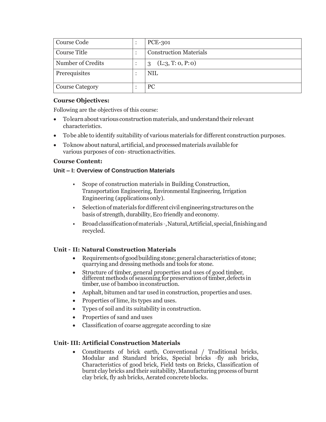| <b>Course Code</b>     | <b>PCE-301</b>                   |
|------------------------|----------------------------------|
| Course Title           | <b>Construction Materials</b>    |
| Number of Credits      | (L:3, T:0, P:0)<br>$\mathcal{S}$ |
| Prerequisites          | NIL                              |
| <b>Course Category</b> | PС                               |

### **Course Objectives:**

Following are the objectives of this course:

- Tolearn about various construction materials, and understand their relevant characteristics.
- Tobe able to identify suitability of various materials for different construction purposes.
- Toknow about natural, artificial, and processed materials available for various purposes of con- structionactivities.

#### **Course Content:**

#### **Unit – I: Overview of Construction Materials**

- Scope of construction materials in Building Construction, Transportation Engineering, Environmental Engineering, Irrigation Engineering (applications only).
- Selection of materials for different civil engineering structures on the basis of strength, durability,Eco friendly and economy.
- Broad classification of materials -, Natural, Artificial, special, finishing and recycled.

# **Unit – II: Natural Construction Materials**

- Requirements of good building stone; general characteristics of stone; quarrying and dressing methods and tools for stone.
- Structure of timber, general properties and uses of good timber, different methods of seasoning for preservation of timber, defects in timber, use of bamboo in construction.
- Asphalt, bitumen and tar used in construction, properties and uses.
- Properties of lime, its types and uses.
- Types of soil and its suitability in construction.
- Properties of sand and uses
- Classification of coarse aggregate according to size

# **Unit- III: Artificial Construction Materials**

 Constituents of brick earth, Conventional / Traditional bricks, Modular and Standard bricks, Special bricks –fly ash bricks, Characteristics of good brick, Field tests on Bricks, Classification of burnt clay bricks and their suitability, Manufacturing process of burnt clay brick, fly ash bricks, Aerated concrete blocks.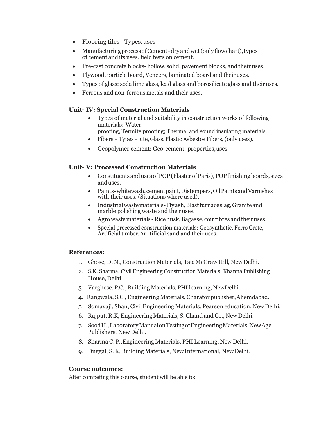- Flooring tiles Types,uses
- Manufacturing process of Cement dry and wet (only flow chart), types of cement andits uses. field tests on cement.
- Pre-cast concrete blocks- hollow, solid, pavement blocks, and their uses.
- Plywood, particle board, Veneers, laminated board and their uses.
- Types of glass: soda lime glass, lead glass and borosilicate glass and theiruses.
- Ferrous and non-ferrous metals and their uses.

# **Unit– IV: Special Construction Materials**

- Types of material and suitability in construction works of following materials: Water
- proofing, Termite proofing; Thermal and sound insulating materials.
- Fibers Types –Jute, Glass, Plastic Asbestos Fibers, (only uses).
- Geopolymer cement: Geo-cement: properties,uses.

#### **Unit– V: Processed Construction Materials**

- Constituents and uses of POP (Plaster of Paris), POP finishing boards, sizes anduses.
- Paints-whitewash,cementpaint,Distempers,OilPaintsandVarnishes with their uses. (Situations where used).
- Industrialwastematerials-Flyash,Blastfurnaceslag,Graniteand marble polishing waste and theiruses.
- Agrowaste materials Rice husk, Bagasse, coir fibres and their uses.
- Special processed construction materials; Geosynthetic, Ferro Crete, Artificial timber,Ar- tificial sand and their uses.

# **References:**

- 1. Ghose, D. N., Construction Materials, TataMcGraw Hill, New Delhi.
- 2. S.K. Sharma, Civil Engineering Construction Materials, Khanna Publishing House, Delhi
- 3. Varghese, P.C., Building Materials, PHI learning, NewDelhi.
- 4. Rangwala, S.C., Engineering Materials, Charator publisher,Ahemdabad.
- 5. Somayaji, Shan, CivilEngineering Materials, Pearson education, New Delhi.
- 6. Rajput, R.K, Engineering Materials, S. Chand and Co., New Delhi.
- 7. SoodH.,LaboratoryManualonTestingofEngineeringMaterials,NewAge Publishers, New Delhi.
- 8. Sharma C. P.,Engineering Materials, PHI Learning, New Delhi.
- 9. Duggal, S. K, Building Materials, New International, New Delhi.

#### **Course outcomes:**

After competing this course, student will be able to: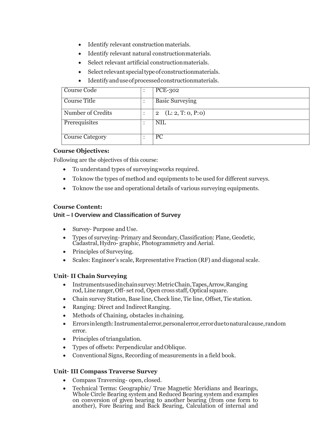- Identify relevant construction materials.
- Identify relevant natural constructionmaterials.
- Select relevant artificial constructionmaterials.
- Select relevant special type of construction materials.
- Identifyanduseofprocessedconstructionmaterials.

| Course Code            | <b>PCE-302</b>                       |
|------------------------|--------------------------------------|
| Course Title           | <b>Basic Surveying</b>               |
| Number of Credits      | (L: 2, T: 0, P: 0)<br>$\overline{2}$ |
| Prerequisites          | <b>NIL</b>                           |
| <b>Course Category</b> | <b>PC</b>                            |

#### **Course Objectives:**

Following are the objectives of this course:

- To understand types of surveyingworks required.
- Toknow the types of method and equipments to be used for different surveys.
- Toknow the use and operational details of various surveying equipments.

#### **Course Content:**

# **Unit – I Overview and Classification of Survey**

- Survey- Purpose and Use.
- Types of surveying- Primary and Secondary, Classification: Plane, Geodetic, Cadastral,Hydro- graphic, Photogrammetry and Aerial.
- Principles of Surveying.
- Scales: Engineer's scale, Representative Fraction (RF) and diagonal scale.

#### **Unit– II Chain Surveying**

- Instrumentsusedinchainsurvey:MetricChain,Tapes,Arrow,Ranging rod, Line ranger, Off- set rod, Open cross staff, Optical square.
- Chain survey Station, Base line, Check line, Tie line, Offset, Tie station.
- Ranging: Direct and Indirect Ranging.
- Methods of Chaining, obstacles inchaining.
- Errorsinlength:Instrumentalerror,personalerror,errorduetonaturalcause,random error.
- Principles of triangulation.
- Types of offsets: Perpendicular andOblique.
- Conventional Signs, Recording of measurements in a field book.

# **Unit– III Compass Traverse Survey**

- Compass Traversing- open, closed.
- Technical Terms: Geographic/ True Magnetic Meridians and Bearings, Whole Circle Bearing system and Reduced Bearing system and examples on conversion of given bearing to another bearing (from one form to another), Fore Bearing and Back Bearing, Calculation of internal and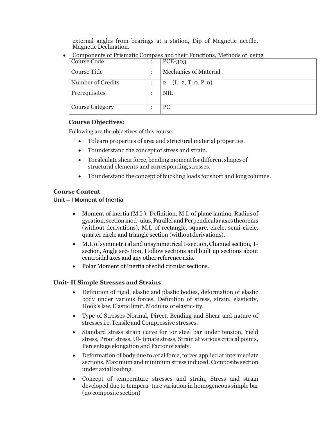external angles from bearings at a station, Dip of Magnetic needle, Magnetic Declination.

- Course Code : PCE-303 Course Title : Nechanics of Material Number of Credits : 2 (L: 2, T: 0, P: 0) Prerequisites : NIL Course Category : PC
- Components of Prismatic Compass and their Functions, Methods of using

#### **Course Objectives:**

Following are the objectives of this course:

- Tolearn properties of area and structural material properties.
- Tounderstand the concept of stress and strain.
- Tocalculate shear force, bending moment for different shapes of structural elements and correspondingstresses.
- Tounderstand the concept of buckling loads for short and longcolumns.

#### **Course Content**

#### **Unit – I Moment of Inertia**

- Moment of inertia (M.I.): Definition, M.I. of plane lamina, Radius of gyration, section mod-ulus, Parallel and Perpendicular axes theorems (without derivations), M.I. of rectangle, square, circle, semi-circle, quarter circle and triangle section (without derivations).
- M.I. of symmetrical and unsymmetricalI-section,Channel section, Tsection, Angle sec- tion, Hollow sections and built up sections about centroidal axes and any other reference axis.
- Polar Moment of Inertia of solid circular sections.

# **Unit– II Simple Stresses and Strains**

- Definition of rigid, elastic and plastic bodies, deformation of elastic body under various forces, Definition of stress, strain, elasticity, Hook's law,Elastic limit, Modulus of elastic-ity.
- Type of Stresses-Normal, Direct, Bending and Shear and nature of stresses i.e.Tensileand Compressive stresses.
- Standard stress strain curve for tor steel bar under tension, Yield stress, Proof stress, Ul- timate stress, Strain at various critical points, Percentage elongation and Factor of safety.
- Deformation of body due to axial force, forces applied at intermediate sections, Maximum and minimum stress induced, Composite section under axialloading.
- Concept of temperature stresses and strain, Stress and strain developed due to tempera- ture variation in homogeneous simple bar (no composite section)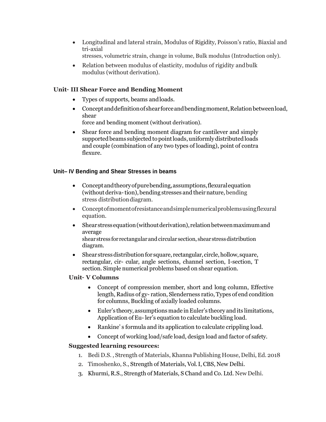- Longitudinal and lateral strain, Modulus of Rigidity, Poisson's ratio, Biaxial and tri-axial stresses, volumetric strain, change in volume, Bulk modulus (Introduction only).
- Relation between modulus of elasticity, modulus of rigidity and bulk modulus (without derivation).

# **Unit– III Shear Force and Bending Moment**

- Types of supports, beams andloads.
- Concept and definition of shear force and bending moment, Relation between load, shear

force and bending moment (without derivation).

 Shear force and bending moment diagram for cantilever and simply supported beams subjected to point loads, uniformly distributed loads and couple (combination of any two types of loading), point of contra flexure.

# **Unit– IV Bending and Shear Stresses in beams**

- Conceptandtheoryofpurebending,assumptions,flexuralequation (without deriva-tion), bending stresses and their nature, bending stress distributiondiagram.
- Conceptofmomentofresistanceandsimplenumericalproblemsusingflexural equation.
- Shear stress equation (without derivation), relation between maximum and average shear stress for rectangular and circular section, shear stress distribution diagram.
- Shear stress distribution for square, rectangular, circle, hollow, square, rectangular, cir- cular, angle sections, channel section, I-section, T section. Simple numerical problems based on shear equation.

# **Unit– V Columns**

- Concept of compression member, short and long column, Effective length, Radius of gy- ration, Slenderness ratio, Types of end condition for columns, Buckling of axially loaded columns.
- Euler's theory,assumptions made inEuler's theory and its limitations, Application of Eu-ler's equation to calculate buckling load.
- Rankine' s formula and its application to calculate crippling load.
- Concept of working load/safe load, design load and factor of safety.

# **Suggested learning resources:**

- 1. Bedi D.S. , Strength of Materials, Khanna Publishing House, Delhi, Ed. 2018
- 2. Timoshenko, S., Strength of Materials, Vol.I, CBS, New Delhi.
- 3. Khurmi, R.S., Strength of Materials, S Chand and Co. Ltd. New Delhi.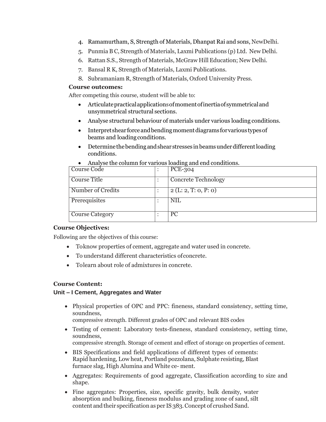- 4. Ramamurtham, S, Strength of Materials, Dhanpat Rai and sons, NewDelhi.
- 5. Punmia B C, Strength of Materials, Laxmi Publications (p) Ltd. New Delhi.
- 6. Rattan S.S., Strength of Materials, McGraw Hill Education; New Delhi.
- 7. Bansal R K, Strength of Materials, Laxmi Publications.
- 8. Subramaniam R, Strength of Materials, Oxford University Press.

#### **Course outcomes:**

After competing this course, student will be able to:

- Articulatepracticalapplicationsofmomentofinertiaofsymmetricaland unsymmetrical structural sections.
- Analyse structural behaviour of materials under various loading conditions.
- Interpret shear force and bending moment diagrams for various types of beams and loadingconditions.
- Determine the bending and shear stresses in beams under different loading conditions.

|                   | $\frac{1}{2}$ . The correction is the consent of the contractions. |
|-------------------|--------------------------------------------------------------------|
| Course Code       | <b>PCE-304</b>                                                     |
| Course Title      | <b>Concrete Technology</b>                                         |
| Number of Credits | 2(L: 2, T: 0, P: 0)                                                |
| Prerequisites     | <b>NIL</b>                                                         |
| Course Category   | PC                                                                 |

Analyse the column for various loading and end conditions.

#### **Course Objectives:**

Following are the objectives of this course:

- Toknow properties of cement, aggregate and water used in concrete.
- To understand different characteristics ofconcrete.
- Tolearn about role of admixtures in concrete.

# **Course Content:**

#### **Unit – I Cement, Aggregates and Water**

 Physical properties of OPC and PPC: fineness, standard consistency, setting time, soundness,

compressive strength. Different grades of OPC and relevant BIS codes

 Testing of cement: Laboratory tests-fineness, standard consistency, setting time, soundness,

compressive strength. Storage of cement and effect of storage on properties of cement.

- BIS Specifications and field applications of different types of cements: Rapid hardening, Low heat, Portland pozzolana, Sulphate resisting, Blast furnace slag, High Alumina and White ce- ment.
- Aggregates: Requirements of good aggregate, Classification according to size and shape.
- Fine aggregates: Properties, size, specific gravity, bulk density, water absorption and bulking, fineness modulus and grading zone of sand, silt content and their specification as per IS 383. Concept of crushed Sand.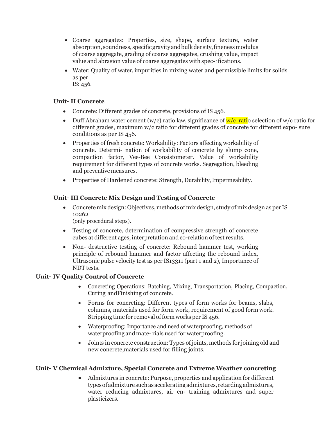- Coarse aggregates: Properties, size, shape, surface texture, water absorption, soundness, specific gravity and bulk density, fineness modulus of coarse aggregate, grading of coarse aggregates, crushing value, impact value and abrasion value of coarse aggregates with spec-ifications.
- Water: Quality of water, impurities in mixing water and permissible limits for solids as per IS: 456.

#### **Unit– II Concrete**

- Concrete: Different grades of concrete, provisions of IS 456.
- Duff Abraham water cement (w/c) ratio law, significance of  $w/c$  ratio selection of w/c ratio for different grades, maximum w/c ratio for different grades of concrete for different expo- sure conditions as per IS 456.
- Properties of fresh concrete: Workability: Factors affecting workability of concrete. Determi- nation of workability of concrete by slump cone, compaction factor, Vee-Bee Consistometer. Value of workability requirement for different types of concrete works. Segregation, bleeding and preventivemeasures.
- Properties of Hardened concrete: Strength, Durability, Impermeability.

#### **Unit– III Concrete Mix Design and Testing of Concrete**

 Concrete mix design: Objectives, methods of mix design, study of mix design as per IS 10262

(only procedural steps).

- Testing of concrete, determination of compressive strength of concrete cubes at different ages, interpretation and co-relation oftest results.
- Non- destructive testing of concrete: Rebound hammer test, working principle of rebound hammer and factor affecting the rebound index, Ultrasonic pulse velocity test as per IS13311 (part 1 and 2), Importance of NDT tests.

#### **Unit– IV Quality Control of Concrete**

- Concreting Operations: Batching, Mixing, Transportation, Placing, Compaction, Curing andFinishing of concrete.
- Forms for concreting: Different types of form works for beams, slabs, columns, materials used for form work, requirement of good form work. Stripping time for removal of form works per IS 456.
- Waterproofing: Importance and need of waterproofing, methods of waterproofing andmate- rials used for waterproofing.
- Joints in concrete construction: Types of joints, methods for joining old and new concrete,materials used for filling joints.

#### **Unit– V Chemical Admixture, Special Concrete and Extreme Weather concreting**

 Admixtures in concrete: Purpose, properties and application for different typesofadmixturesuchas accelerating admixtures, retarding admixtures, water reducing admixtures, air en- training admixtures and super plasticizers.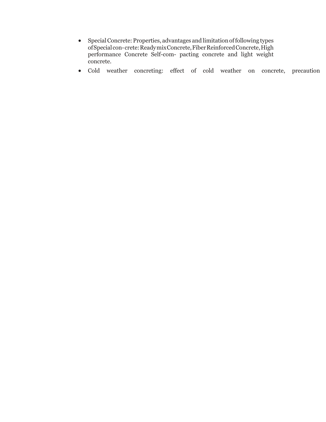- SpecialConcrete:Properties, advantages and limitationoffollowing types ofSpecialcon-crete:ReadymixConcrete,FiberReinforcedConcrete,High performance Concrete Self-com- pacting concrete and light weight concrete.
- Cold weather concreting: effect of cold weather on concrete, precaution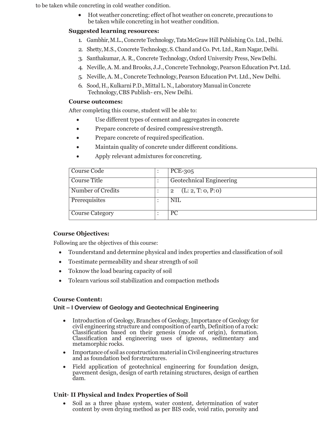to be taken while concreting in cold weather condition.

 Hot weather concreting: effect of hot weather on concrete, precautions to be taken while concreting in hot weather condition.

### **Suggested learning resources:**

- 1. Gambhir,M.L., Concrete Technology,TataMcGraw Hill Publishing Co. Ltd., Delhi.
- 2. Shetty, M.S., Concrete Technology, S. Chand and Co. Pvt. Ltd., Ram Nagar, Delhi.
- 3. Santhakumar, A. R., Concrete Technology, Oxford University Press, NewDelhi.
- 4. Neville,A.M. and Brooks, J.J.,Concrete Technology,Pearson Education Pvt.Ltd.
- 5. Neville, A. M., Concrete Technology,Pearson Education Pvt. Ltd., New Delhi.
- 6. Sood, H.,Kulkarni P.D.,Mittal L. N., Laboratory Manual in Concrete Technology,CBS Publish- ers, New Delhi.

#### **Course outcomes:**

After completing this course, student will be able to:

- Use different types of cement and aggregates in concrete
- Prepare concrete of desired compressive strength.
- Prepare concrete of required specification.
- Maintain quality of concrete under different conditions.
- Apply relevant admixtures for concreting.

| Course Code            | <b>PCE-305</b>                       |
|------------------------|--------------------------------------|
| Course Title           | <b>Geotechnical Engineering</b>      |
| Number of Credits      | (L: 2, T: 0, P: 0)<br>$\overline{2}$ |
| Prerequisites          | <b>NIL</b>                           |
| <b>Course Category</b> | <sub>PC</sub>                        |

# **Course Objectives:**

Following are the objectives of this course:

- Tounderstand and determine physical and index properties and classification of soil
- Toestimate permeability and shear strength of soil
- Toknow the load bearing capacity of soil
- Tolearn various soil stabilization and compaction methods

# **Course Content:**

# **Unit – I Overview of Geology and Geotechnical Engineering**

- Introduction of Geology, Branches of Geology,Importance of Geology for civil engineering structure and composition of earth, Definition of a rock: Classification based on their genesis (mode of origin), formation. Classification and engineering uses of igneous, sedimentary and metamorphic rocks.
- Importance of soil as constructionmaterialinCivil engineering structures and as foundation bed forstructures.
- Field application of geotechnical engineering for foundation design, pavement design, design of earth retaining structures, design of earthen dam.

# **Unit– II Physical and Index Properties of Soil**

 Soil as a three phase system, water content, determination of water content by oven drying method as per BIS code, void ratio, porosity and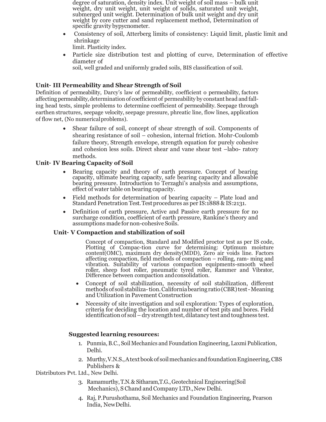degree of saturation, density index. Unit weight of soil mass – bulk unit weight, dry unit weight, unit weight of solids, saturated unit weight, submerged unit weight. Determination of bulk unit weight and dry unit weight by core cutter and sand replacement method, Determination of specific gravity bypycnometer.

 Consistency of soil, Atterberg limits of consistency: Liquid limit, plastic limit and shrinkage

limit. Plasticity index.

 Particle size distribution test and plotting of curve, Determination of effective diameter of

soil, well graded and uniformly graded soils, BIS classification of soil.

# **Unit– III Permeability and Shear Strength of Soil**

Definition of permeability, Darcy's law of permeability, coefficient o permeability, factors affecting permeability, determination of coefficient of permeability by constant head and falling head tests, simple problems to determine coefficient of permeability. Seepage through earthen structures, seepage velocity, seepage pressure, phreatic line, flow lines, application of flow net, (No numericalproblems).

> Shear failure of soil, concept of shear strength of soil. Components of shearing resistance of soil – cohesion, internal friction. Mohr-Coulomb failure theory, Strength envelope, strength equation for purely cohesive and cohesion less soils. Direct shear and vane shear test –labo- ratory methods.

# **Unit– IV Bearing Capacity of Soil**

- Bearing capacity and theory of earth pressure. Concept of bearing capacity, ultimate bearing capacity, safe bearing capacity and allowable bearing pressure. Introduction to Terzaghi's analysis and assumptions, effect of water table on bearing capacity.
- Field methods for determination of bearing capacity Plate load and Standard Penetration Test. Test procedures as per IS:1888 & IS:2131.
- Definition of earth pressure, Active and Passive earth pressure for no surcharge condition, coefficient of earth pressure, Rankine's theory and assumptions made fornon-cohesive Soils.

# **Unit– V Compaction and stabilization of soil**

Concept of compaction, Standard and Modified proctor test as per IS code, Plotting of Compac-tion curve for determining: Optimum moisture content(OMC), maximum dry density(MDD), Zero air voids line. Factors affecting compaction, field methods of compaction – rolling, ram- ming and vibration. Suitability of various compaction equipments-smooth wheel roller, sheep foot roller, pneumatic tyred roller, Rammer and Vibrator, Difference between compaction andconsolidation.

- Concept of soil stabilization, necessity of soil stabilization, different methods of soil stabiliza-tion. California bearing ratio (CBR) test - Meaning and Utilization in Pavement Construction
- Necessity of site investigation and soil exploration: Types of exploration, criteria for deciding the location and number of test pits and bores. Field identification of soil – dry strength test, dilatancy test and toughness test.

# **Suggested learning resources:**

- 1. Punmia, B.C., Soil Mechanics and Foundation Engineering, Laxmi Publication, Delhi.
- 2. Murthy, V.N.S., A text book of soil mechanics and foundation Engineering, CBS Publishers &

Distributors Pvt. Ltd., New Delhi.

- 3. Ramamurthy,T.N.& Sitharam,T.G.,Geotechnical Engineering(Soil Mechanics), S Chand and Company LTD., New Delhi.
- 4. Raj, P.Purushothama, Soil Mechanics and Foundation Engineering, Pearson India, NewDelhi.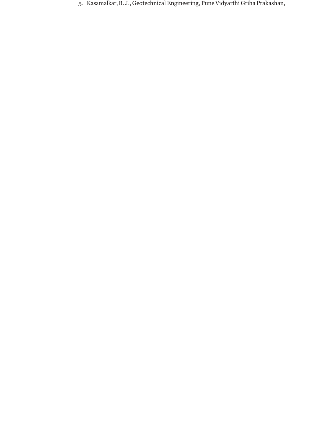5. Kasamalkar,B. J., Geotechnical Engineering, PuneVidyarthi Griha Prakashan,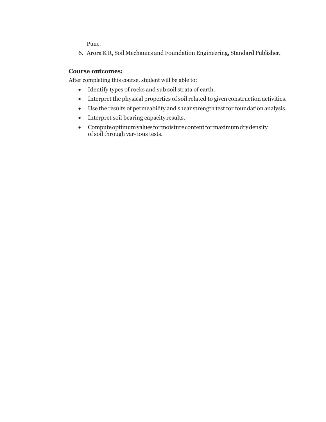Pune.

6. AroraK R, Soil Mechanics and Foundation Engineering, Standard Publisher.

#### **Course outcomes:**

After completing this course, student will be able to:

- Identify types of rocks and sub soil strata of earth.
- Interpret the physical properties of soil related to given construction activities.
- Use the results of permeability and shear strength test for foundationanalysis.
- Interpret soil bearing capacity results.
- Computeoptimumvaluesformoisturecontentformaximumdrydensity of soil through var-ious tests.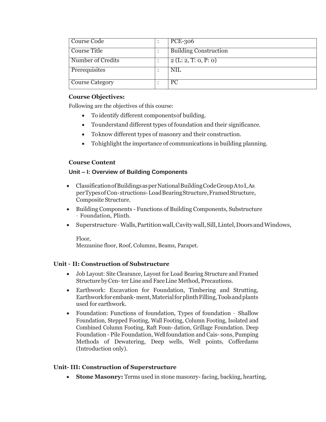| Course Code            | <b>PCE-306</b>               |
|------------------------|------------------------------|
| Course Title           | <b>Building Construction</b> |
| Number of Credits      | 2(L: 2, T: 0, P: 0)          |
| Prerequisites          | <b>NIL</b>                   |
| <b>Course Category</b> | <sub>PC</sub>                |

### **Course Objectives:**

Following are the objectives of this course:

- To identify different componentsof building.
- Tounderstand different types of foundation and their significance.
- Toknow different types of masonry and their construction.
- Tohighlight the importance of communications in building planning.

# **Course Content**

# **Unit – I: Overview of Building Components**

- ClassificationofBuildingsasperNationalBuildingCodeGroupAtoI,As perTypes of Con-structions-Load Bearing Structure, Framed Structure, Composite Structure.
- Building Components Functions of Building Components, Substructure – Foundation, Plinth.
- Superstructure–Walls,Partitionwall,Cavitywall,Sill,Lintel,DoorsandWindows,

Floor, Mezzanine floor, Roof, Columns, Beams, Parapet.

# **Unit – II: Construction of Substructure**

- Job Layout: Site Clearance, Layout for Load Bearing Structure and Framed StructurebyCen-ter Line and FaceLine Method, Precautions.
- Earthwork: Excavation for Foundation, Timbering and Strutting, Earthwork for embank-ment, Material for plinth Filling, Tools and plants used for earthwork.
- Foundation: Functions of foundation, Types of foundation Shallow Foundation, Stepped Footing, Wall Footing, Column Footing, Isolated and Combined Column Footing, Raft Foun- dation, Grillage Foundation. Deep Foundation - Pile Foundation, Well foundation and Cais- sons, Pumping Methods of Dewatering, Deep wells, Well points, Cofferdams (Introduction only).

# **Unit- III: Construction of Superstructure**

**Stone Masonry:** Terms used in stone masonry- facing, backing, hearting,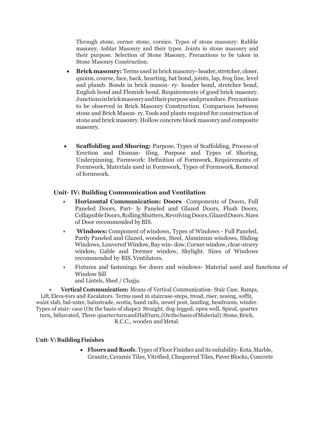Through stone, corner stone, cornice. Types of stone masonry: Rubble masonry, Ashlar Masonry and their types. Joints in stone masonry and their purpose. Selection of Stone Masonry, Precautions to be taken in Stone Masonry Construction.

- **Brickmasonry:** Termsused in brick masonry-header, stretcher, closer, quoins, course, face, back, hearting, bat bond, joints, lap, frog line, level and plumb. Bonds in brick mason- ry- header bond, stretcher bond, English bond and Flemish bond. Requirements of good brick masonry. Junctions in brick masonry and their purpose and procedure. Precautions to be observed in Brick Masonry Construction. Comparison between stone and Brick Mason- ry.Tools and plants required for construction of stone and brick masonry.Hollow concrete block masonry and composite masonry.
- **Scaffolding and Shoring:** Purpose, Types of Scaffolding, Process of Erection and Disman- tling. Purpose and Types of Shoring, Underpinning. Formwork: Definition of Formwork, Requirements of Formwork, Materials used in Formwork, Types of Formwork,Removal of formwork.

#### **Unit– IV: Building Communication and Ventilation**

- **• Horizontal Communication: Doors** –Components of Doors, Full Paneled Doors, Part- ly Paneled and Glazed Doors, Flush Doors, CollapsibleDoors,RollingShutters,RevolvingDoors,GlazedDoors.Sizes of Door recommended byBIS.
- **Windows:** Component of windows, Types of Windows Full Paneled, Partly Paneled and Glazed, wooden, Steel, Aluminum windows, Sliding Windows, Louvered Window,Bay win- dow,Corner window, clear-storey window, Gable and Dormer window, Skylight. Sizes of Windows recommended by BIS.Ventilators.
- Fixtures and fastenings for doors and windows- Material used and functions of Window Sill and Lintels, Shed / Chajja.

**• Vertical Communication:** Means of Vertical Communication- Stair Case, Ramps, Lift,Eleva-tors and Escalators. Terms used in staircase-steps, tread, riser, nosing, soffit, waist slab, bal-uster, balustrade, scotia, hand rails, newel post, landing, headroom, winder. Types of stair- case (On the basis of shape): Straight, dog-legged, open well, Spiral, quarter

turn, bifurcated, Three quarterturnandHalfturn,(OnthebasisofMaterial):Stone,Brick,

R.C.C., wooden andMetal.

# **Unit– V: BuildingFinishes**

 **Floors and Roofs**: Types of Floor Finishes and its suitability-Kota, Marble, Granite, Ceramic Tiles, Vitrified, Chequered Tiles, Paver Blocks, Concrete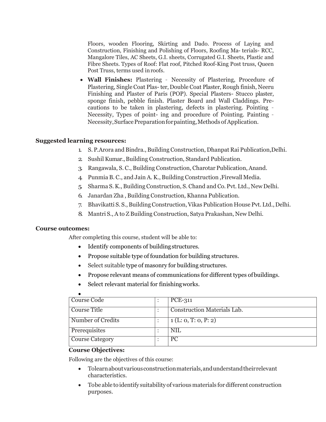Floors, wooden Flooring, Skirting and Dado. Process of Laying and Construction, Finishing and Polishing of Floors, Roofing Ma- terials- RCC, Mangalore Tiles, AC Sheets, G.I. sheets, Corrugated G.I. Sheets, Plastic and Fibre Sheets. Types of Roof: Flat roof, Pitched Roof-King Post truss, Queen Post Truss, terms used inroofs.

 **Wall Finishes:** Plastering – Necessity of Plastering, Procedure of Plastering, Single Coat Plas-ter, Double Coat Plaster, Rough finish, Neeru Finishing and Plaster of Paris (POP). Special Plasters- Stucco plaster, sponge finish, pebble finish. Plaster Board and Wall Claddings. Precautions to be taken in plastering, defects in plastering. Pointing – Necessity, Types of point- ing and procedure of Pointing. Painting – Necessity, Surface Preparation for painting, Methods of Application.

#### **Suggested learning resources:**

- 1. S. P.Arora and Bindra., Building Construction, Dhanpat Rai Publication,Delhi.
- 2. Sushil Kumar.,Building Construction, Standard Publication.
- 3. Rangawala, S. C., Building Construction, Charotar Publication,Anand.
- 4 Punmia B. C., and Jain A. K., Building Construction, Firewall Media.
- 5. Sharma S.K., Building Construction, S. Chand and Co. Pvt. Ltd., NewDelhi.
- 6. Janardan Zha , Building Construction, Khanna Publication.
- 7. Bhavikatti S. S.,BuildingConstruction,Vikas Publication House Pvt. Ltd.,Delhi.
- 8. Mantri S., A to Z Building Construction, Satya Prakashan, New Delhi.

#### **Course outcomes:**

After completing this course, student will be able to:

- Identify components of building structures.
- Propose suitable type of foundation for building structures.
- Select suitable type of masonry for building structures.
- Propose relevant means of communications for different types of buildings.
- Select relevant material for finishing works.

| Course Code            | <b>PCE-311</b>              |
|------------------------|-----------------------------|
| Course Title           | Construction Materials Lab. |
| Number of Credits      | 1(L: 0, T: 0, P: 2)         |
| Prerequisites          | <b>NIL</b>                  |
| <b>Course Category</b> | <b>PC</b>                   |

#### **Course Objectives:**

Following are the objectives of this course:

- Tolearnaboutvariousconstructionmaterials,andunderstandtheirrelevant characteristics.
- Tobe able to identify suitabilityof variousmaterials fordifferent construction purposes.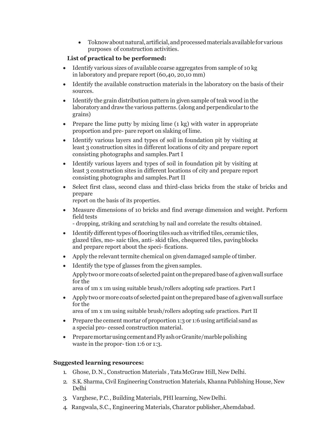Toknowaboutnatural,artificial,andprocessedmaterialsavailableforvarious purposes of construction activities.

# **List of practical to be performed:**

- Identify various sizes of available coarse aggregates from sample of 10 kg in laboratory and prepare report (60,40, 20,10 mm)
- Identify the available construction materials in the laboratory on the basis of their sources.
- Identify the grain distribution pattern in given sample of teak wood in the laboratory and draw the various patterns.(along and perpendicular to the grains)
- Prepare the lime putty by mixing lime  $(1 \text{ kg})$  with water in appropriate proportion and pre- pare report on slaking of lime.
- Identify various layers and types of soil in foundation pit by visiting at least 3 construction sites in different locations of city and prepare report consisting photographs and samples.Part I
- Identify various layers and types of soil in foundation pit by visiting at least 3 construction sites in different locations of city and prepare report consisting photographs and samples.Part II
- Select first class, second class and third-class bricks from the stake of bricks and prepare

report on the basis of its properties.

- Measure dimensions of 10 bricks and find average dimension and weight. Perform field tests
	- dropping, striking and scratching by nail and correlate the results obtained.
- Identify different types of flooring tiles such as vitrified tiles, ceramic tiles, glazed tiles, mo- saic tiles, anti- skid tiles, chequered tiles, pavingblocks and prepare report about the speci- fications.
- Apply the relevant termite chemical on givendamaged sample of timber.
- Identify the type of glasses from the given samples.

Apply two or more coats of selected paint ontheprepared base of agivenwall surface for the

area of 1m x 1m using suitable brush/rollers adopting safe practices. Part I

 Apply two or more coats of selected paint ontheprepared base of agivenwall surface for the

area of 1m x 1m using suitable brush/rollers adopting safe practices. Part II

- Prepare the cement mortar of proportion 1:3 or 1:6 using artificial sand as a special pro- cessed construction material.
- Preparemortar using cement and Flyash or Granite/marble polishing waste in the propor- tion 1:6 or 1:3.

# **Suggested learning resources:**

- 1. Ghose, D.N., Construction Materials , TataMcGraw Hill, New Delhi.
- 2. S.K. Sharma, Civil Engineering Construction Materials, Khanna Publishing House, New Delhi
- 3. Varghese, P.C., Building Materials, PHI learning, NewDelhi.
- 4. Rangwala, S.C., Engineering Materials, Charator publisher,Ahemdabad.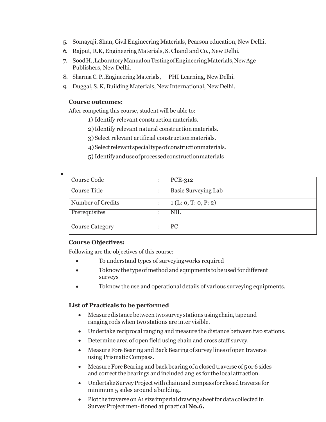- 5. Somayaji, Shan, Civil Engineering Materials, Pearson education, New Delhi.
- 6. Rajput, R.K, Engineering Materials, S. Chand and Co., New Delhi.
- 7. SoodH.,LaboratoryManualonTestingofEngineeringMaterials,NewAge Publishers, New Delhi.
- 8. Sharma C. P.,Engineering Materials, PHI Learning, NewDelhi.
- 9. Duggal, S. K, Building Materials, New International, New Delhi.

#### **Course outcomes:**

After competing this course, student will be able to:

- 1) Identify relevant construction materials.
- 2)Identify relevant natural constructionmaterials.
- 3)Select relevant artificial constructionmaterials.
- 4)Select relevantspecialtypeofconstructionmaterials.
- 5)Identifyanduseofprocessedconstructionmaterials

| Course Code            | PCE-312                    |
|------------------------|----------------------------|
| <b>Course Title</b>    | <b>Basic Surveying Lab</b> |
| Number of Credits      | 1(L: 0, T: 0, P: 2)        |
| Prerequisites          | <b>NIL</b>                 |
| <b>Course Category</b> | <b>PC</b>                  |

#### **Course Objectives:**

 $\bullet$ 

Following are the objectives of this course:

- To understand types of surveyingworks required
- Toknow the type of method and equipments to beused for different surveys
- Toknow the use and operational details of various surveying equipments.

#### **List of Practicals to be performed**

- Measuredistancebetweentwosurveystationsusingchain,tapeand ranging rods when two stations are inter visible.
- Undertake reciprocal ranging and measure the distance between two stations.
- Determine area of open field using chain and cross staff survey.
- Measure Fore Bearing and Back Bearing of survey lines of open traverse using Prismatic Compass.
- $\bullet$  Measure Fore Bearing and back bearing of a closed traverse of 5 or 6 sides and correct the bearings and included angles for the local attraction.
- Undertake Survey Project with chain and compass for closed traverse for minimum 5 sides around abuilding**.**
- Plot the traverse on A1 size imperial drawing sheet for data collected in Survey Project men-tioned at practical **No.6.**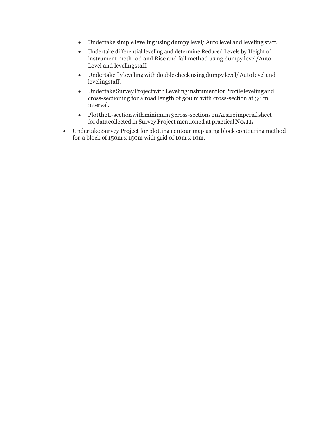- Undertake simple leveling using dumpy level/ Auto level and leveling staff.
- Undertake differential leveling and determine Reduced Levels by Height of instrument meth- od and Rise and fall method using dumpy level/Auto Level and levelingstaff.
- Undertake fly leveling with double checkusing dumpy level/Auto level and levelingstaff.
- Undertake Survey Project with Leveling instrument for Profile leveling and cross-sectioning for a road length of 500 m with cross-section at 30 m interval.
- Plotthe L-section with minimum 3 cross-sections on A1 size imperial sheet fordata collected in Survey Project mentioned at practical **No.11.**
- Undertake Survey Project for plotting contour map using block contouring method for a block of 150m x 150m with grid of 10m x 10m.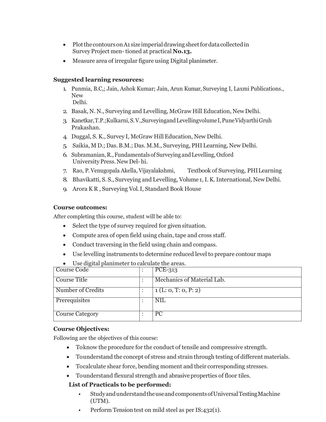- $\bullet$  Plot the contours on A1 size imperial drawing sheet for data collected in SurveyProject men-tioned at practical **No.13.**
- Measure area of irregular figure using Digital planimeter.

#### **Suggested learning resources:**

1. Punmia, B.C,; Jain, Ashok Kumar; Jain, Arun Kumar, Surveying I, Laxmi Publications., New Delhi.

2. Basak, N. N., Surveying and Levelling, McGraw Hill Education, NewDelhi.

- 3. Kanetkar,T.P.;Kulkarni,S.V.,SurveyingandLevellingvolumeI,PuneVidyarthiGruh Prakashan.
- 4. Duggal, S. K., Survey I, McGraw Hill Education, New Delhi.
- 5. Saikia, M D.; Das. B.M.; Das. M.M., Surveying, PHI Learning, New Delhi.
- 6. Subramanian,R.,Fundamentals of Surveying andLevelling,Oxford UniversityPress.NewDel- hi.
- 7. Rao, P. Venugopala Akella, Vijayalakshmi, Textbook of Surveying, PHILearning
- 8. Bhavikatti, S. S., Surveying and Levelling, Volume 1, I. K. International, New Delhi.
- 9. Arora K R , Surveying Vol.I, Standard Book House

#### **Course outcomes:**

After completing this course, student will be able to:

- Select the type of survey required for given situation.
- Compute area of open field using chain, tape and cross staff.
- Conduct traversing in the field using chain and compass.
- Use levelling instruments to determine reduced level to prepare contour maps

Use digital planimeter to calculate the areas.

| Course Code            | PCE-313                    |
|------------------------|----------------------------|
| Course Title           | Mechanics of Material Lab. |
| Number of Credits      | 1(L: 0, T: 0, P: 2)        |
| Prerequisites          | <b>NIL</b>                 |
| <b>Course Category</b> | <b>PC</b>                  |

#### **Course Objectives:**

Following are the objectives of this course:

- Toknow the procedure for the conduct of tensile and compressive strength.
- Tounderstand the concept of stress and strain through testing of different materials.
- Tocalculate shear force, bending moment and their corresponding stresses.
- Tounderstand flexural strength and abrasive properties of floor tiles.

#### **List of Practicals to be performed:**

- StudyandunderstandtheuseandcomponentsofUniversalTestingMachine (UTM).
- Perform Tension test on mild steel as per IS:432(1).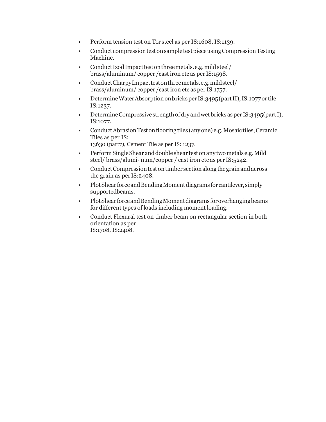- Perform tension test on Tor steel as per IS:1608, IS:1139.
- Conduct compression test on sample test piece using Compression Testing Machine.
- Conduct Izod Impact test on three metals.e.g. mild steel/ brass/aluminum/ copper /castiron etc as per IS:1598.
- ConductCharpyImpacttestonthreemetals.e.g.mildsteel/ brass/aluminum/ copper /cast iron etc as per IS:1757.
- Determine Water Absorption on bricks per IS:3495 (part II), IS:1077 or tile IS:1237.
- DetermineCompressive strengthofdry andwetbricks asper IS:3495(partI), IS:1077.
- Conduct Abrasion Test on flooring tiles (any one) e.g. Mosaic tiles, Ceramic Tiles as per IS: 13630 (part7), Cement Tile as per IS: 1237.
- PerformSingleShear anddouble shear testonany twometals e.g.Mild steel/ brass/alumi- num/copper / cast iron etc as per IS:5242.
- Conduct Compression test on timber section along the grain and across the grain as per IS:2408.
- Plot Shear force and Bending Moment diagrams for cantilever, simply supportedbeams.
- Plot Shear force and Bending Moment diagrams for overhanging beams for different types of loads including moment loading.
- Conduct Flexural test on timber beam on rectangular section in both orientation as per IS:1708, IS:2408.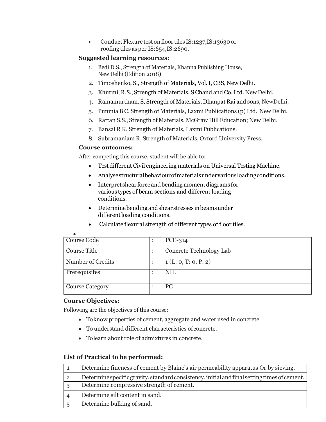• Conduct Flexure test on floor tiles IS:1237, IS:13630 or roofing tiles as per IS:654,IS:2690.

# **Suggested learning resources:**

- 1. Bedi D.S., Strength of Materials, Khanna Publishing House, New Delhi (Edition 2018)
- 2. Timoshenko, S., Strength of Materials, Vol.I, CBS, New Delhi.
- 3. Khurmi, R.S., Strength of Materials, S Chand and Co. Ltd. New Delhi.
- 4. Ramamurtham, S, Strength of Materials, Dhanpat Rai and sons, NewDelhi.
- 5. Punmia B C, Strength of Materials, Laxmi Publications (p) Ltd. New Delhi.
- 6. Rattan S.S., Strength of Materials, McGraw Hill Education; New Delhi.
- 7. Bansal R K, Strength of Materials, Laxmi Publications.
- 8. Subramaniam R, Strength of Materials, Oxford University Press.

# **Course outcomes:**

After competing this course, student will be able to:

- Testdifferent Civil engineering materials on Universal Testing Machine.
- Analysestructuralbehaviourofmaterialsundervariousloadingconditions.
- Interpret shear force and bending moment diagrams for various typesof beam sections and different loading conditions.
- Determinebendingandshear stresses inbeamsunder different loading conditions.
- Calculate flexural strength of different types of floor tiles.

| Course Code            | PCE-314                 |
|------------------------|-------------------------|
| Course Title           | Concrete Technology Lab |
| Number of Credits      | 1(L: 0, T: 0, P: 2)     |
| Prerequisites          | <b>NIL</b>              |
| <b>Course Category</b> | $\overline{PC}$         |

# **Course Objectives:**

Following are the objectives of this course:

- Toknow properties of cement, aggregate and water used in concrete.
- To understand different characteristics ofconcrete.
- Tolearn about role of admixtures in concrete.

# **List of Practical to be performed:**

|                | Determine fineness of cement by Blaine's air permeability apparatus Or by sieving.           |
|----------------|----------------------------------------------------------------------------------------------|
| $\overline{2}$ | Determine specific gravity, standard consistency, initial and final setting times of cement. |
| -3             | Determine compressive strength of cement.                                                    |
|                | Determine silt content in sand.                                                              |
|                | Determine bulking of sand.                                                                   |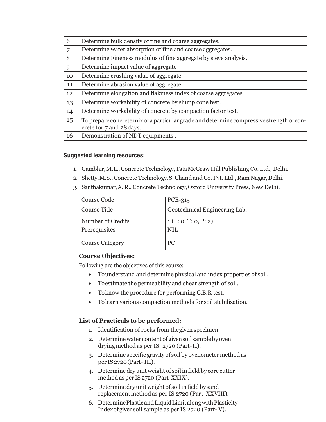| 6              | Determine bulk density of fine and coarse aggregates.                                                                |
|----------------|----------------------------------------------------------------------------------------------------------------------|
| $\overline{7}$ | Determine water absorption of fine and coarse aggregates.                                                            |
| 8              | Determine Fineness modulus of fine aggregate by sieve analysis.                                                      |
| 9              | Determine impact value of aggregate                                                                                  |
| 10             | Determine crushing value of aggregate.                                                                               |
| 11             | Determine abrasion value of aggregate.                                                                               |
| 12             | Determine elongation and flakiness index of coarse aggregates                                                        |
| 13             | Determine workability of concrete by slump cone test.                                                                |
| 14             | Determine workability of concrete by compaction factor test.                                                         |
| 15             | To prepare concrete mix of a particular grade and determine compressive strength of con-<br>crete for 7 and 28 days. |
| 16             | Demonstration of NDT equipments.                                                                                     |

#### **Suggested learning resources:**

- 1. Gambhir,M.L., Concrete Technology,TataMcGraw Hill Publishing Co. Ltd., Delhi.
- 2. Shetty, M.S., Concrete Technology, S. Chand and Co. Pvt. Ltd., Ram Nagar, Delhi.
- 3. Santhakumar,A. R., Concrete Technology,Oxford University Press, New Delhi.

| Course Code       | $PCE-315$                     |
|-------------------|-------------------------------|
| Course Title      | Geotechnical Engineering Lab. |
| Number of Credits | 1(L: 0, T: 0, P: 2)           |
| Prerequisites     | NIL                           |
| Course Category   | <b>PC</b>                     |

#### **Course Objectives:**

Following are the objectives of this course:

- Tounderstand and determine physical and index properties of soil.
- Toestimate the permeability and shear strength of soil.
- Toknow the procedure for performing C.B.R test.
- Tolearn various compaction methods for soil stabilization.

# **List of Practicals to be performed:**

- 1. Identification of rocks from thegiven specimen.
- 2. Determinewater content of givensoil sampleby oven drying method as per IS: 2720 (Part-II).
- 3. Determine specific gravity of soil by pycnometer method as per IS 2720(Part- III).
- 4. Determine dry unit weight of soil in field by core cutter method as per IS 2720 (Part-XXIX).
- 5. Determinedryunitweight of soilin fieldby sand replacement method as per IS 2720 (Part-XXVIII).
- 6. DeterminePlasticandLiquidLimitalongwithPlasticity Indexof givensoil sample as per IS 2720 (Part- V).